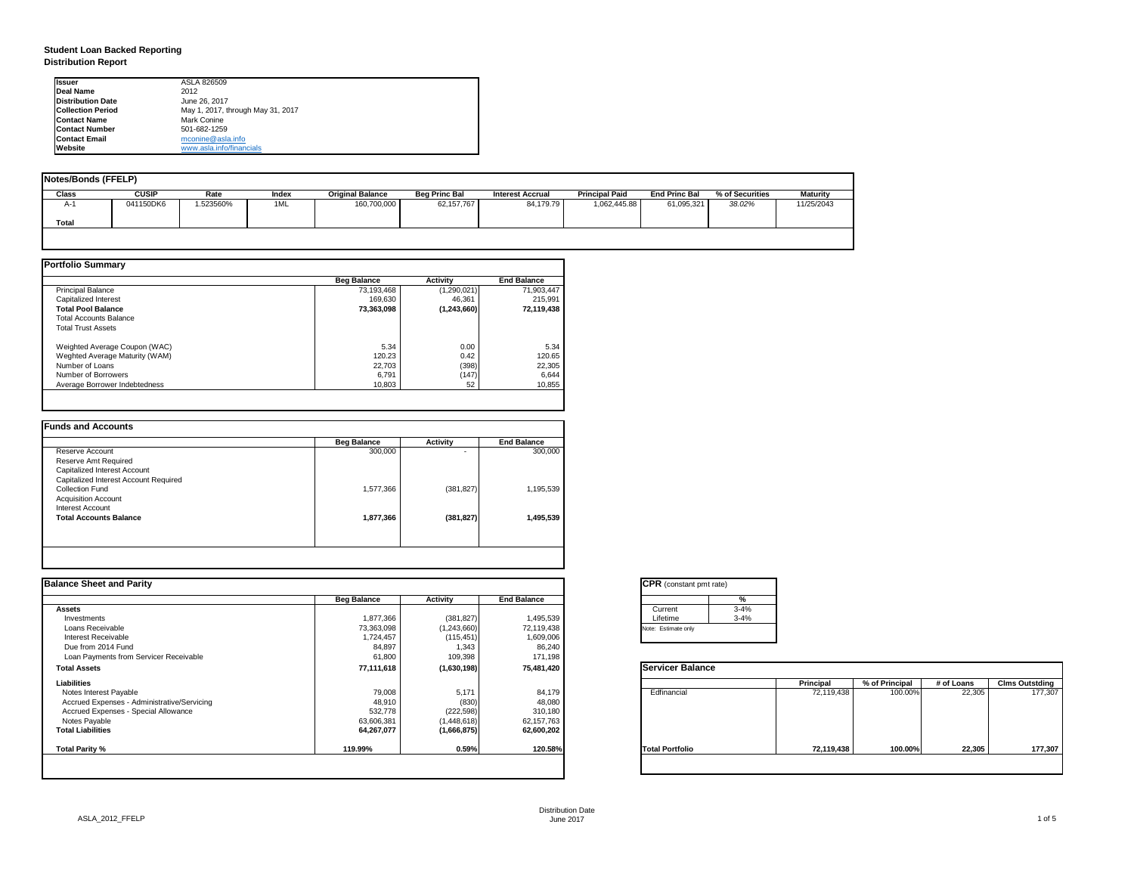| tant pmt rate) |          |
|----------------|----------|
|                | %        |
|                | $3 - 4%$ |
|                | $3 - 4%$ |
| only           |          |

|      | <b>Principal</b> | % of Principal | # of Loans | <b>Clms Outstding</b> |  |  |
|------|------------------|----------------|------------|-----------------------|--|--|
| al   | 72,119,438       | 100.00%        | 22,305     | 177,307               |  |  |
| oilc | 72,119,438       | 100.00%        | 22,305     | 177,307               |  |  |

# **Student Loan Backed Reporting Distribution Report**

| Notes/Bonds (FFELP) |              |           |       |                         |                      |                  |                       |                      |                 |                 |
|---------------------|--------------|-----------|-------|-------------------------|----------------------|------------------|-----------------------|----------------------|-----------------|-----------------|
| <b>Class</b>        | <b>CUSIP</b> | Rate      | Index | <b>Original Balance</b> | <b>Beg Princ Bal</b> | Interest Accrual | <b>Principal Paid</b> | <b>End Princ Bal</b> | % of Securities | <b>Maturity</b> |
| A-1                 | 041150DK6    | 1.523560% | 1ML   | 160,700,000             | 62, 157, 767         | 84,179.79        | 1,062,445.88          | 61,095,321           | 38.02%          | 11/25/2043      |
| <b>Total</b>        |              |           |       |                         |                      |                  |                       |                      |                 |                 |
|                     |              |           |       |                         |                      |                  |                       |                      |                 |                 |

|                                | <b>Beg Balance</b> | <b>Activity</b> | <b>End Balance</b> |
|--------------------------------|--------------------|-----------------|--------------------|
| <b>Principal Balance</b>       | 73,193,468         | (1,290,021)     | 71,903,447         |
| Capitalized Interest           | 169,630            | 46,361          | 215,991            |
| <b>Total Pool Balance</b>      | 73,363,098         | (1,243,660)     | 72,119,438         |
| <b>Total Accounts Balance</b>  |                    |                 |                    |
| <b>Total Trust Assets</b>      |                    |                 |                    |
| Weighted Average Coupon (WAC)  | 5.34               | 0.00            | 5.34               |
| Weghted Average Maturity (WAM) | 120.23             | 0.42            | 120.65             |
| Number of Loans                | 22,703             | (398)           | 22,305             |
| Number of Borrowers            | 6,791              | (147)           | 6,644              |
| Average Borrower Indebtedness  | 10,803             | 52              | 10,855             |

|                                       | <b>Beg Balance</b> | <b>Activity</b> | <b>End Balance</b> |
|---------------------------------------|--------------------|-----------------|--------------------|
| Reserve Account                       | 300,000            | ٠               | 300,000            |
| <b>Reserve Amt Required</b>           |                    |                 |                    |
| <b>Capitalized Interest Account</b>   |                    |                 |                    |
| Capitalized Interest Account Required |                    |                 |                    |
| <b>Collection Fund</b>                | 1,577,366          | (381, 827)      | 1,195,539          |
| <b>Acquisition Account</b>            |                    |                 |                    |
| <b>Interest Account</b>               |                    |                 |                    |
| <b>Total Accounts Balance</b>         | 1,877,366          | (381, 827)      | 1,495,539          |
|                                       |                    |                 |                    |

| <b>Ilssuer</b>           | ASLA 826509                       |
|--------------------------|-----------------------------------|
| Deal Name                | 2012                              |
| Distribution Date        | June 26, 2017                     |
| <b>Collection Period</b> | May 1, 2017, through May 31, 2017 |
| <b>Contact Name</b>      | <b>Mark Conine</b>                |
| <b>Contact Number</b>    | 501-682-1259                      |
| <b>Contact Email</b>     | mconine@asla.info                 |
| <b>IWebsite</b>          | www.asla.info/financials          |

|                    |                  |                    | <b>CPR</b> (constant pmt rate) |                  |                  |            |                       |
|--------------------|------------------|--------------------|--------------------------------|------------------|------------------|------------|-----------------------|
| <b>Beg Balance</b> | <b>Activity</b>  | <b>End Balance</b> | %                              |                  |                  |            |                       |
|                    |                  |                    | $3 - 4%$<br>Current            |                  |                  |            |                       |
| 1,877,366          | (381, 827)       | 1,495,539          | $3 - 4%$<br>Lifetime           |                  |                  |            |                       |
| 73,363,098         | (1,243,660)      | 72,119,438         | Note: Estimate only            |                  |                  |            |                       |
| 1,724,457          | (115, 451)       | 1,609,006          |                                |                  |                  |            |                       |
|                    |                  |                    |                                |                  |                  |            |                       |
| 61,800             | 109,398          | 171,198            |                                |                  |                  |            |                       |
| 77,111,618         | (1,630,198)      | 75,481,420         | <b>Servicer Balance</b>        |                  |                  |            |                       |
|                    |                  |                    |                                | <b>Principal</b> | $%$ of Principal | # of Loans | <b>Clms Outstding</b> |
|                    | 5,171            |                    | Edfinancial                    | 72,119,438       | 100.00%          | 22,305     | 177,307               |
| 48,910             | (830)            | 48,080             |                                |                  |                  |            |                       |
| 532,778            | (222, 598)       | 310,180            |                                |                  |                  |            |                       |
| 63,606,381         | (1,448,618)      | 62,157,763         |                                |                  |                  |            |                       |
| 64,267,077         | (1,666,875)      | 62,600,202         |                                |                  |                  |            |                       |
| 119.99%            | 0.59%            | 120.58%            | <b>Total Portfolio</b>         | 72,119,438       | 100.00%          | 22,305     | 177,307               |
|                    | 84,897<br>79,008 | 1,343              | 86,240<br>84,179               |                  |                  |            |                       |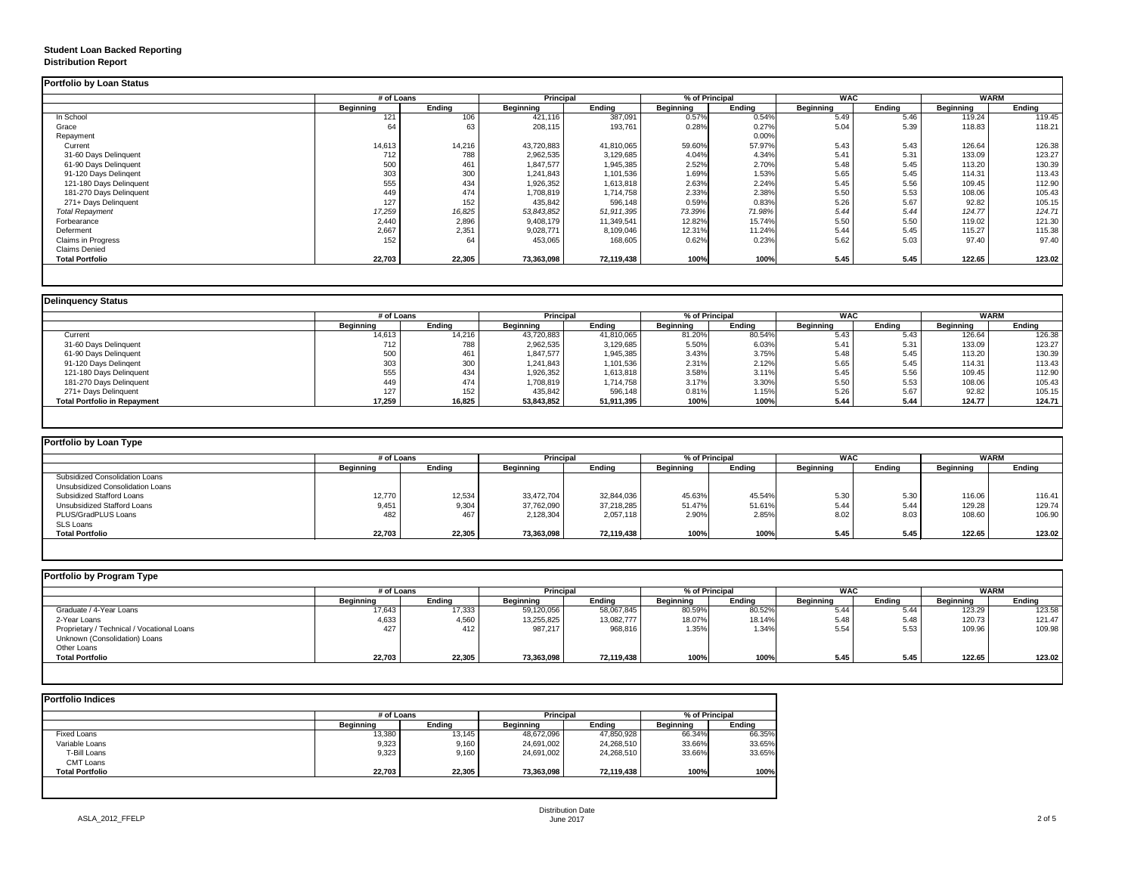## **Student Loan Backed Reporting Distribution Report**

## **Delinquency Status**

|                         | # of Loans       |               | <b>Principal</b> |               | % of Principal   |               | <b>WAC</b>       |               | <b>WARM</b>      |               |
|-------------------------|------------------|---------------|------------------|---------------|------------------|---------------|------------------|---------------|------------------|---------------|
|                         | <b>Beginning</b> | <b>Ending</b> | <b>Beginning</b> | <b>Ending</b> | <b>Beginning</b> | <b>Ending</b> | <b>Beginning</b> | <b>Ending</b> | <b>Beginning</b> | <b>Ending</b> |
| In School               | 121              | 106           | 421,116          | 387,091       | 0.57%            | 0.54%         | 5.49             | 5.46          | 119.24           | 119.45        |
| Grace                   | 64               | 63            | 208,115          | 193,761       | 0.28%            | 0.27%         | 5.04             | 5.39          | 118.83           | 118.21        |
| Repayment               |                  |               |                  |               |                  | 0.00%         |                  |               |                  |               |
| Current                 | 14,613           | 14,216        | 43,720,883       | 41,810,065    | 59.60%           | 57.97%        | 5.43             | 5.43          | 126.64           | 126.38        |
| 31-60 Days Delinquent   | 712              | 788           | 2,962,535        | 3,129,685     | 4.04%            | 4.34%         | 5.41             | 5.31          | 133.09           | 123.27        |
| 61-90 Days Delinquent   | 500              | 461           | 1,847,577        | 1,945,385     | 2.52%            | 2.70%         | 5.48             | 5.45          | 113.20           | 130.39        |
| 91-120 Days Delingent   | 303              | 300           | 1,241,843        | 1,101,536     | 1.69%            | 1.53%         | 5.65             | 5.45          | 114.31           | 113.43        |
| 121-180 Days Delinquent | 555              | 434           | 1,926,352        | 1,613,818     | 2.63%            | 2.24%         | 5.45             | 5.56          | 109.45           | 112.90        |
| 181-270 Days Delinquent | 449              | 474           | 1,708,819        | 1,714,758     | 2.33%            | 2.38%         | 5.50             | 5.53          | 108.06           | 105.43        |
| 271+ Days Delinquent    | 127              | 152           | 435,842          | 596,148       | 0.59%            | 0.83%         | 5.26             | 5.67          | 92.82            | 105.15        |
| <b>Total Repayment</b>  | 17,259           | 16,825        | 53,843,852       | 51,911,395    | 73.39%           | 71.98%        | 5.44             | 5.44          | 124.77           | 124.71        |
| Forbearance             | 2,440            | 2,896         | 9,408,179        | 11,349,541    | 12.82%           | 15.74%        | 5.50             | 5.50          | 119.02           | 121.30        |
| Deferment               | 2,667            | 2,351         | 9,028,771        | 8,109,046     | 12.31%           | 11.24%        | 5.44             | 5.45          | 115.27           | 115.38        |
| Claims in Progress      | 152              | 64            | 453,065          | 168,605       | 0.62%            | 0.23%         | 5.62             | 5.03          | 97.40            | 97.40         |
| <b>Claims Denied</b>    |                  |               |                  |               |                  |               |                  |               |                  |               |
| <b>Total Portfolio</b>  | 22,703           | 22,305        | 73,363,098       | 72,119,438    | 100%             | 100%          | 5.45             | 5.45          | 122.65           | 123.02        |

|                                     | # of Loans       |               | <b>Principal</b> |               | % of Principal |               | <b>WAC</b>       |               | <b>WARM</b>      |        |
|-------------------------------------|------------------|---------------|------------------|---------------|----------------|---------------|------------------|---------------|------------------|--------|
|                                     | <b>Beginning</b> | <b>Ending</b> | <b>Beginning</b> | <b>Ending</b> | Beginning      | <b>Ending</b> | <b>Beginning</b> | <b>Ending</b> | <b>Beginning</b> | Ending |
| Current                             | 14,613           | 14,216        | 43,720,883       | 41,810,065    | 81.20%         | 80.54%        | 5.43             | 5.43          | 126.64           | 126.38 |
| 31-60 Days Delinquent               | 712 <sub>1</sub> | 788           | 2,962,535        | 3,129,685     | 5.50%          | 6.03%         | 5.41             | 5.31          | 133.09           | 123.27 |
| 61-90 Days Delinquent               | 500              | 461           | 1,847,577        | 1,945,385     | 3.43%          | 3.75%         | 5.48             | 5.45          | 113.20           | 130.39 |
| 91-120 Days Delinqent               | 303              | 300           | 1,241,843        | 1,101,536     | 2.31%          | 2.12%         | 5.65             | 5.45          | 114.31           | 113.43 |
| 121-180 Days Delinquent             | 555              | 434           | 1,926,352        | 1,613,818     | 3.58%          | 3.11%         | 5.45             | 5.56          | 109.45           | 112.90 |
| 181-270 Days Delinquent             | 449              | 474           | 1,708,819        | 1,714,758     | 3.17%          | 3.30%         | 5.50             | 5.53          | 108.06           | 105.43 |
| 271+ Days Delinquent                | 127              | 152           | 435,842          | 596,148       | 0.81%          | 1.15%         | 5.26             | 5.67          | 92.82            | 105.15 |
| <b>Total Portfolio in Repayment</b> | 17,259           | 16,825        | 53,843,852       | 51,911,395    | 100%           | 100%          | 5.44             | 5.44          | 124.77           | 124.71 |

| <b>Portfolio by Loan Type</b>           |                  |               |                  |               |                |        |                  |               |                  |               |
|-----------------------------------------|------------------|---------------|------------------|---------------|----------------|--------|------------------|---------------|------------------|---------------|
|                                         | # of Loans       |               | <b>Principal</b> |               | % of Principal |        | <b>WAC</b>       |               | <b>WARM</b>      |               |
|                                         | <b>Beginning</b> | <b>Ending</b> | <b>Beginning</b> | <b>Ending</b> | Beginning      | Ending | <b>Beginning</b> | <b>Ending</b> | <b>Beginning</b> | <b>Ending</b> |
| <b>Subsidized Consolidation Loans</b>   |                  |               |                  |               |                |        |                  |               |                  |               |
| <b>Unsubsidized Consolidation Loans</b> |                  |               |                  |               |                |        |                  |               |                  |               |
| <b>Subsidized Stafford Loans</b>        | 12,770           | 12,534        | 33,472,704       | 32,844,036    | 45.63%         | 45.54% | 5.30             | 5.30          | 116.06           | 116.41        |
| <b>Unsubsidized Stafford Loans</b>      | 9,451            | 9,304         | 37,762,090       | 37,218,285    | 51.47%         | 51.61% | 5.44             | 5.44          | 129.28           | 129.74        |
| PLUS/GradPLUS Loans                     | 482              | 467           | 2,128,304        | 2,057,118     | 2.90%          | 2.85%  | 8.02             | 8.03          | 108.60           | 106.90        |
| <b>SLS Loans</b>                        |                  |               |                  |               |                |        |                  |               |                  |               |
| <b>Total Portfolio</b>                  | 22,703           | 22,305        | 73,363,098       | 72,119,438    | 100%           | 100%   | 5.45             | 5.45          | 122.65           | 123.02        |

|                                            |                  | # of Loans    |                  | <b>Principal</b> | % of Principal   |               | <b>WAC</b>       |               | <b>WARM</b>      |               |
|--------------------------------------------|------------------|---------------|------------------|------------------|------------------|---------------|------------------|---------------|------------------|---------------|
|                                            | <b>Beginning</b> | <b>Ending</b> | <b>Beginning</b> | Ending           | <b>Beginning</b> | <b>Ending</b> | <b>Beginning</b> | <b>Ending</b> | <b>Beginning</b> | <b>Ending</b> |
| Graduate / 4-Year Loans                    | 17,643           | 17,333        | 59,120,056       | 58,067,845       | 80.59%           | 80.52%        | 5.44             | 5.44          | 123.29           | 123.58        |
| 2-Year Loans                               | 4,633            | 4,560         | 13,255,825       | 13,082,777       | 18.07%           | 18.14%        | 5.48             | 5.48          | 120.73           | 121.47        |
| Proprietary / Technical / Vocational Loans | 427              | 412           | 987,217          | 968,816          | 1.35%            | 1.34%         | 5.54             | 5.53          | 109.96           | 109.98        |
| Unknown (Consolidation) Loans              |                  |               |                  |                  |                  |               |                  |               |                  |               |
| <b>Other Loans</b>                         |                  |               |                  |                  |                  |               |                  |               |                  |               |
| <b>Total Portfolio</b>                     | 22,703           | 22,305        | 73,363,098       | 72,119,438       | 100%             | 100%          | 5.45             | 5.45          | 122.65           | 123.02        |

|                        |                  | # of Loans    |                  |               | % of Principal   |               |  |
|------------------------|------------------|---------------|------------------|---------------|------------------|---------------|--|
|                        | <b>Beginning</b> | <b>Ending</b> | <b>Beginning</b> | <b>Ending</b> | <b>Beginning</b> | <b>Ending</b> |  |
| <b>Fixed Loans</b>     | 13,380           | 13,145        | 48,672,096       | 47,850,928    | 66.34%           | 66.35%        |  |
| Variable Loans         | 9,323            | 9,160         | 24,691,002       | 24,268,510    | 33.66%           | 33.65%        |  |
| T-Bill Loans           | 9,323            | 9,160         | 24,691,002       | 24,268,510    | 33.66%           | 33.65%        |  |
| <b>CMT Loans</b>       |                  |               |                  |               |                  |               |  |
| <b>Total Portfolio</b> | 22,703           | 22,305        | 73,363,098       | 72,119,438    | 100%             | 100%          |  |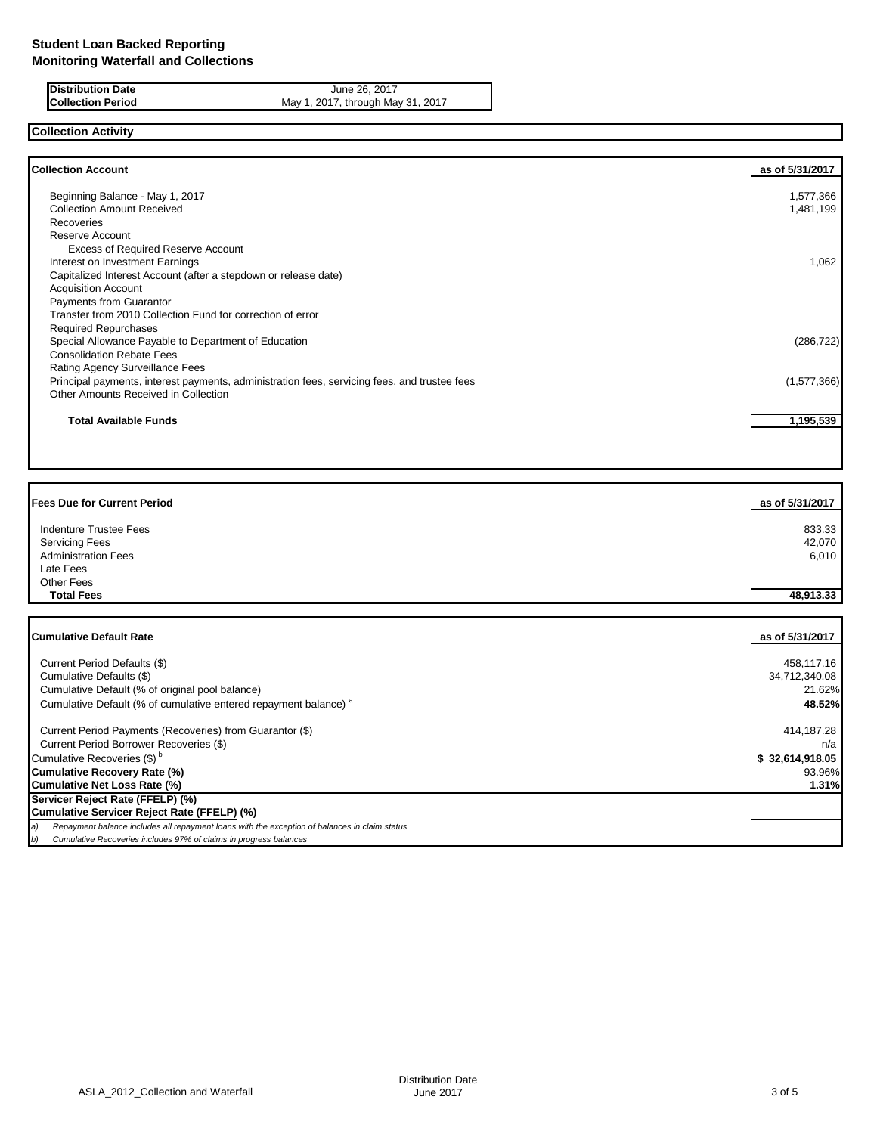**Distribution Date** June 26, 2017<br>**Collection Period** May 1, 2017, through Ma

May 1, 2017, through May 31, 2017

# **Collection Activity**

| <b>Collection Account</b>                                                                    | as of 5/31/2017 |
|----------------------------------------------------------------------------------------------|-----------------|
| Beginning Balance - May 1, 2017                                                              | 1,577,366       |
| <b>Collection Amount Received</b>                                                            | 1,481,199       |
| Recoveries                                                                                   |                 |
| Reserve Account                                                                              |                 |
| <b>Excess of Required Reserve Account</b>                                                    |                 |
| Interest on Investment Earnings                                                              | 1,062           |
| Capitalized Interest Account (after a stepdown or release date)                              |                 |
| <b>Acquisition Account</b>                                                                   |                 |
| <b>Payments from Guarantor</b>                                                               |                 |
| Transfer from 2010 Collection Fund for correction of error                                   |                 |
| <b>Required Repurchases</b>                                                                  |                 |
| Special Allowance Payable to Department of Education                                         | (286, 722)      |
| <b>Consolidation Rebate Fees</b>                                                             |                 |
| Rating Agency Surveillance Fees                                                              |                 |
| Principal payments, interest payments, administration fees, servicing fees, and trustee fees | (1,577,366)     |
| Other Amounts Received in Collection                                                         |                 |
| <b>Total Available Funds</b>                                                                 | 1,195,539       |
|                                                                                              |                 |

| <b>Fees Due for Current Period</b> | as of 5/31/2017 |
|------------------------------------|-----------------|
| <b>Indenture Trustee Fees</b>      | 833.33          |
| <b>Servicing Fees</b>              | 42,070          |
| <b>Administration Fees</b>         | 6,010           |
| Late Fees                          |                 |
| <b>Other Fees</b>                  |                 |
| <b>Total Fees</b>                  | 48,913.33       |
|                                    |                 |
|                                    |                 |

| <b>Cumulative Default Rate</b>                                                                      | as of 5/31/2017 |
|-----------------------------------------------------------------------------------------------------|-----------------|
| Current Period Defaults (\$)                                                                        | 458,117.16      |
| Cumulative Defaults (\$)                                                                            | 34,712,340.08   |
| Cumulative Default (% of original pool balance)                                                     | 21.62%          |
| Cumulative Default (% of cumulative entered repayment balance) <sup>a</sup>                         | 48.52%          |
| Current Period Payments (Recoveries) from Guarantor (\$)                                            | 414,187.28      |
| Current Period Borrower Recoveries (\$)                                                             | n/a l           |
| Cumulative Recoveries (\$) <sup>b</sup>                                                             | \$32,614,918.05 |
| <b>Cumulative Recovery Rate (%)</b>                                                                 | 93.96%          |
| <b>Cumulative Net Loss Rate (%)</b>                                                                 | 1.31%           |
| Servicer Reject Rate (FFELP) (%)                                                                    |                 |
| Cumulative Servicer Reject Rate (FFELP) (%)                                                         |                 |
| Repayment balance includes all repayment loans with the exception of balances in claim status<br>э) |                 |
| Cumulative Recoveries includes 97% of claims in progress balances<br>b)                             |                 |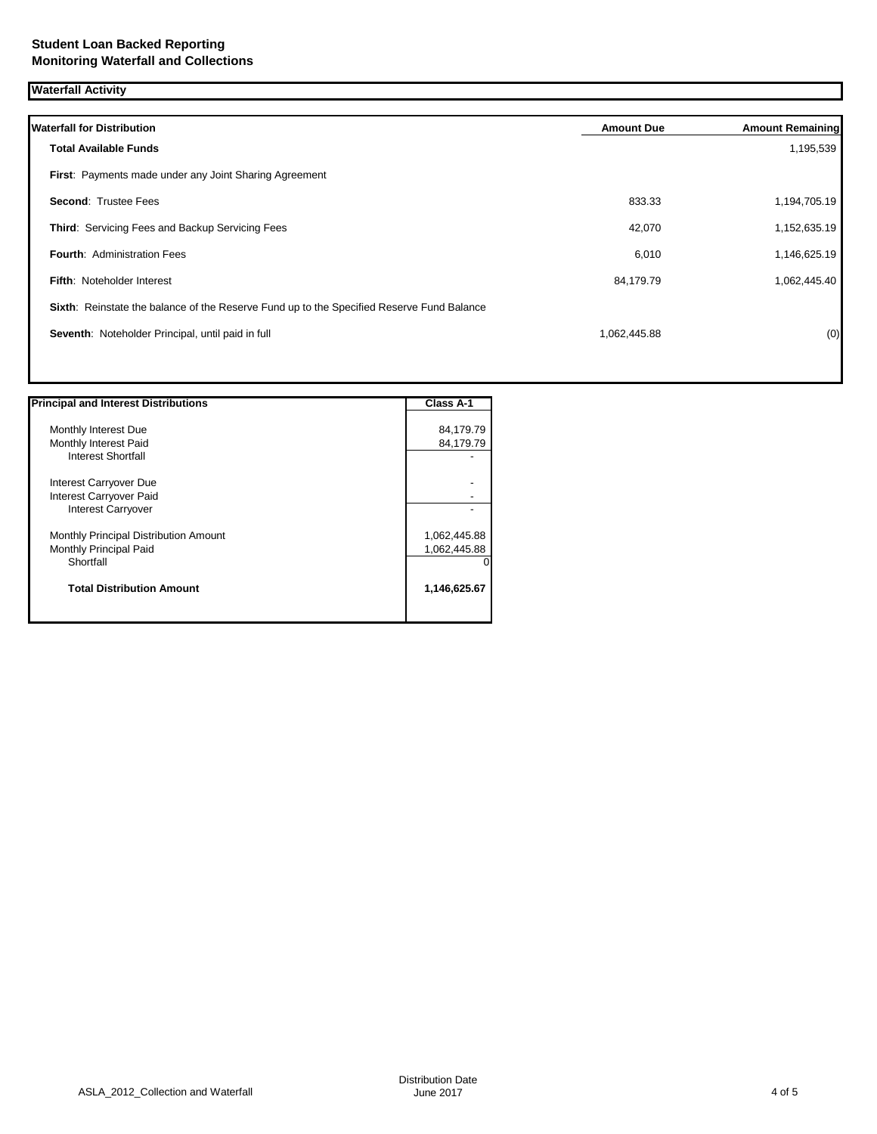**Waterfall Activity**

| <b>Waterfall for Distribution</b>                                                         | <b>Amount Due</b> | <b>Amount Remaining</b> |
|-------------------------------------------------------------------------------------------|-------------------|-------------------------|
| <b>Total Available Funds</b>                                                              |                   | 1,195,539               |
| First: Payments made under any Joint Sharing Agreement                                    |                   |                         |
| <b>Second: Trustee Fees</b>                                                               | 833.33            | 1,194,705.19            |
| Third: Servicing Fees and Backup Servicing Fees                                           | 42,070            | 1,152,635.19            |
| <b>Fourth: Administration Fees</b>                                                        | 6,010             | 1,146,625.19            |
| <b>Fifth: Noteholder Interest</b>                                                         | 84,179.79         | 1,062,445.40            |
| Sixth: Reinstate the balance of the Reserve Fund up to the Specified Reserve Fund Balance |                   |                         |
| Seventh: Noteholder Principal, until paid in full                                         | 1,062,445.88      | (0)                     |
|                                                                                           |                   |                         |

| <b>Principal and Interest Distributions</b> | <b>Class A-1</b> |
|---------------------------------------------|------------------|
| Monthly Interest Due                        | 84,179.79        |
| Monthly Interest Paid                       | 84,179.79        |
| <b>Interest Shortfall</b>                   |                  |
| Interest Carryover Due                      |                  |
| Interest Carryover Paid                     |                  |
| <b>Interest Carryover</b>                   |                  |
| Monthly Principal Distribution Amount       | 1,062,445.88     |
| Monthly Principal Paid                      | 1,062,445.88     |
| Shortfall                                   |                  |
| <b>Total Distribution Amount</b>            | 1,146,625.67     |
|                                             |                  |